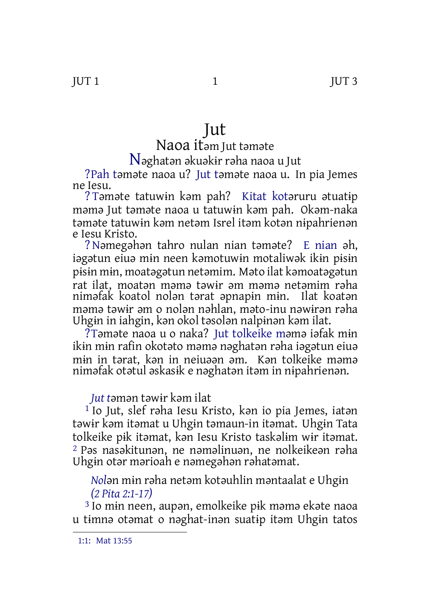# Jut

## Naoa itəm Jut təməte

### N<sup>ə</sup>ghatə<sup>n</sup> <sup>ə</sup>kuəkɨ<sup>r</sup> <sup>r</sup>əha naoa <sup>u</sup> Jut

?Pah təməte naoa u? Jut təməte naoa u. In pia Jemes ne Iesu.

? Təməte tatuwɨn kəm pah? Kitat kotəruru ətuatɨp məmə Jut təməte naoa u tatuwɨn kəm pah. Okəm-naka təməte tatuwɨn kəm netəm Isrel itəm kotən nɨpahrienən e Iesu Kristo.

?Nəmegəhən tahro nulan nian təməte? E nian əh, iəgətun eiuə mɨn neen kəmotuwɨn motaliwək ikɨn pɨsɨn pɨsɨn mɨn, moatəgətun netəmim. Məto ilat kəmoatəgətun rat ilat, moatən məmə təwɨr əm məmə netəmim rəha niməfak koatol nolən tərat əpnapɨn mɨn. Ilat koatən məmə təwɨr əm o nolən nəhlan, məto-inu nəwɨrən rəha Uhgɨn in iahgin, kən okol təsolən nalpɨnən kəm ilat.

?Təməte naoa u o naka? Jut tolkeike məmə iəfak mɨn ikɨn mɨn rafin okotəto məmə nəghatən rəha iəgətun eiuə mɨn in tərat, kən in neiuəən əm. Kən tolkeike məmə niməfak otətul əskasɨk e nəghatən itəm in nɨpahrienən.

#### *Jut t*əmən təwɨr kəm ilat

1 Io Jut, slef rəha Iesu Kristo, kən io pia Jemes, iatən təwɨr kəm itəmat u Uhgɨn təmaun-in itəmat. Uhgɨn Tata tolkeike pɨk itəmat, kən Iesu Kristo taskəlɨm wɨr itəmat. 2 Pəs nasəkitunən, ne nəməlinuən, ne nolkeikeən rəha Uhgɨn otər mərioah e nəmegəhən rəhatəmat.

*Nol*ən mɨn rəha netəm kotəuhlin məntaalat e Uhgɨn *(2 Pita 2:1-17)*

3 Io mɨn neen, aupən, emolkeike pɨk məmə ekəte naoa u tɨmnə otəmat o nəghat-inən suatɨp itəm Uhgɨn tatos

<sup>1:1:</sup> Mat 13:55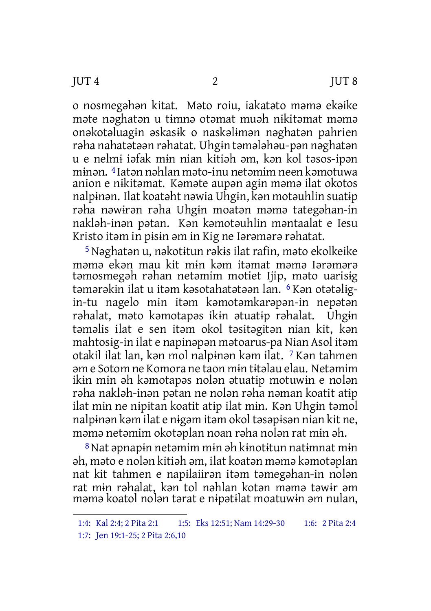o nosmegəhən kitat. Məto roiu, iakatəto məmə ekəike məte nəghatən u tɨmnə otəmat muəh nɨkitəmat məmə onəkotəluagɨn əskasɨk o naskəlɨmən nəghatən pahrien rəha nahatətəən rəhatat. Uhgɨn təmələhəu-pən nəghatən u e nelmɨ iəfak mɨn nian kitiəh əm, kən kol təsos-ipən mɨnən. 4 Iatən nəhlan məto-inu netəmim neen kəmotuwa anion e nɨkitəmat. Kəməte aupən agɨn məmə ilat okotos nalpɨnən. Ilat koatəht nəwia Uhgɨn, kən motəuhlin suatɨp rəha nəwɨrən rəha Uhgɨn moatən məmə tategəhan-in nakləh-inən pətan. Kən kəmotəuhlin məntaalat e Iesu Kristo itəm in pɨsɨn əm in Kig ne Iərəmərə rəhatat.

5Nəghatən u, nəkotɨtun rəkɨs ilat rafin, məto ekolkeike məmə ekən mau kit mɨn kəm itəmat məmə Iərəmərə təmosmegəh rəhan netəmim motiet Ijip, məto uarisɨg təmərəkɨn ilat u itəm kəsotahatətəən lan. 6 Kən otətəlɨgin-tu nagelo mɨn itəm kəmotəmkarəpən-in nepətən rəhalat, məto kəmotapəs ikɨn ətuatɨp rəhalat. Uhgɨn təməlis ilat e sen itəm okol təsɨtəgɨtən nian kit, kən mahtosɨg-in ilat e napinəpən mətoarus-pa Nian Asol itəm otakil ilat lan, kən mol nalpɨnən kəm ilat. 7 Kən tahmen əm e Sotom ne Komora ne taon mɨn tɨtəlau elau. Netəmim ikɨn mɨn əh kəmotapəs nolən ətuatɨp motuwɨn e nolən rəha nakləh-inən pətan ne nolən rəha nəman koatit atɨp ilat mɨn ne nɨpɨtan koatit atɨp ilat mɨn. Kən Uhgɨn təmol nalpɨnən kəm ilat e nɨgəm itəm okol təsəpɨsən nian kit ne, məmə netəmim okotəplan noan rəha nolən rat mɨn əh.

8Nat əpnapɨn netəmim mɨn əh kɨnotɨtun natɨmnat mɨn əh, məto e nolən kitiəh əm, ilat koatən məmə kəmotəplan nat kit tahmen e napɨlaiirən itəm təmegəhan-in nolən rat mɨn rəhalat, kən tol nəhlan kotən məmə təwɨr əm məmə koatol nolən tərat e nɨpətɨlat moatuwɨn əm nulan,

<sup>1:4:</sup> Kal 2:4; 2 Pita 2:1 1:5: Eks 12:51; Nam 14:29-30 1:6: 2 Pita 2:4 1:7: Jen 19:1-25; 2 Pita 2:6,10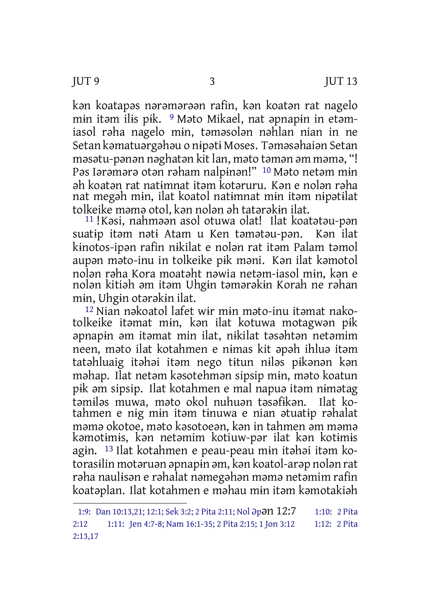kən koatapəs nərəmərəən rafin, kən koatən rat nagelo mɨn itəm ilɨs pɨk. 9 Məto Mikael, nat əpnapɨn in etəmiasol rəha nagelo mɨn, təməsolən nəhlan nian in ne Setan kəmatuərgəhəu o nɨpətɨ Moses. Təməsəhaiən Setan məsətu-pənən nəghatən kit lan, məto təmən əm məmə, "! Pəs Iərəmərə otən rəham nalpɨnən!" 10 Məto netəm mɨn əh koatən rat natɨmnat itəm kotəruru. Kən e nolən rəha nat megəh mɨn, ilat koatol natɨmnat mɨn itəm nɨpətɨlat tolkeike məmə otol, kən nolən əh tatərəkɨn ilat.

11 !Kəsi, nahməən asol otuwa olat! Ilat koatətəu-pən suatɨp itəm nətɨ Atam u Ken təmətəu-pən. Kən ilat kɨnotos-ipən rafin nɨkilat e nolən rat itəm Palam təmol aupən məto-inu in tolkeike pɨk məni. Kən ilat kəmotol nolən rəha Kora moatəht nəwia netəm-iasol mɨn, kən e nolən kitiəh əm itəm Uhgɨn təmərəkɨn Korah ne rəhan mɨn, Uhgɨn otərəkɨn ilat.

12 Nian nəkoatol lafet wɨr mɨn məto-inu itəmat nakotolkeike itəmat mɨn, kən ilat kotuwa motagwən pɨk əpnapɨn əm itəmat min ilat, nɨkilat təsəhtən netəmim neen, məto ilat kotahmen e nɨmas kit əpəh ihluə itəm tatəhluaig itəhəi itəm nego tɨtun nɨləs pɨkənən kən məhap. Ilat netəm kəsotehmən sipsip mɨn, məto koatun pɨk əm sipsip. Ilat kotahmen e mal napuə itəm nɨmətag təmɨləs muwa, məto okol nuhuən təsəfɨkən. Ilat kotahmen e nɨg mɨn itəm tɨnuwa e nian ətuatɨp rəhalat məmə okotoe, məto kəsotoeən, kən in tahmen əm məmə kəmotɨmɨs, kən netəmim kotiuw-pər ilat kən kotɨmɨs agɨn. 13 Ilat kotahmen e peau-peau mɨn itəhəi itəm kotorasɨlin motəruən əpnapɨn əm, kən koatol-arəp nolən rat rəha naulɨsən e rəhalat nəmegəhən məmə netəmim rafin koatəplan. Ilat kotahmen e məhau mɨn itəm kəmotakiəh

<sup>1:9:</sup> Dan 10:13,21; 12:1; Sek 3:2; 2 Pita 2:11; Nol Əpən 12:7 1:10: 2 Pita 2:12 1:11: Jen 4:7-8; Nam 16:1-35; 2 Pita 2:15; 1 Jon 3:12 1:12: 2 Pita 2:13,17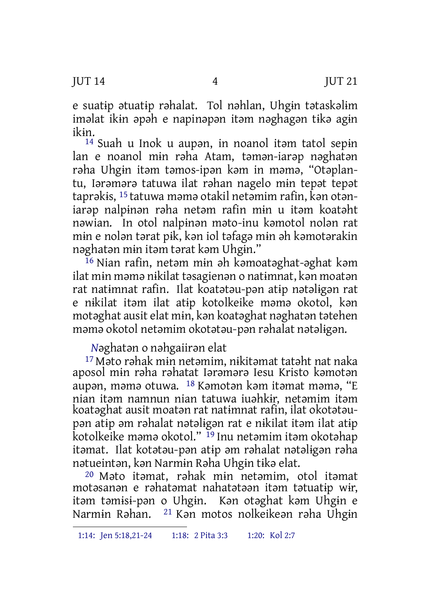e suatɨp ətuatɨp rəhalat. Tol nəhlan, Uhgɨn tətaskəlɨm iməlat ikɨn əpəh e napinəpən itəm nəghagən tɨkə agɨn ikɨn.

<sup>14</sup> Suah u Inok u aupan, in noanol itam tatol sepin lan e noanol mɨn rəha Atam, təmən-iarəp nəghatən rəha Uhgɨn itəm təmos-ipən kəm in məmə, "Otəplantu, Iərəmərə tatuwa ilat rəhan nagelo mɨn tepət tepət taprəkɨs, 15 tatuwa məmə otakil netəmim rafin, kən otəniarəp nalpɨnən rəha netəm rafin mɨn u itəm koatəht nəwian. In otol nalpɨnən məto-inu kəmotol nolən rat mɨn e nolən tərat pɨk, kən iol təfagə mɨn əh kəmotərakin nəghatən mɨn itəm tərat kəm Uhgɨn."

16 Nian rafin, netəm mɨn əh kəmoatəghat-əghat kəm ilat mɨn məmə nɨkilat təsagienən o natɨmnat, kən moatən rat natɨmnat rafin. Ilat koatətəu-pən atɨp nətəlɨgən rat e nɨkilat itəm ilat atɨp kotolkeike məmə okotol, kən motəghat ausit elat mɨn, kən koatəghat nəghatən tətehen məmə okotol netəmim okotətəu-pən rəhalat nətəlɨgən.

*N*əghatən o nəhgaiirən elat

17 Məto rəhak mɨn netəmim, nɨkitəmat tatəht nat naka aposol mɨn rəha rəhatat Iərəmərə Iesu Kristo kəmotən aupən, məmə otuwa. 18 Kəmotən kəm itəmat məmə, "E nian itəm namnun nian tatuwa iuəhkɨr, netəmim itəm koatəghat ausit moatən rat natɨmnat rafin, ilat okotətəupən atɨp əm rəhalat nətəlɨgən rat e nɨkilat itəm ilat atɨp kotolkeike məmə okotol." 19 Inu netəmim itəm okotəhap itəmat. Ilat kotətəu-pən atɨp əm rəhalat nətəlɨgən rəha nətueintən, kən Narmɨn Rəha Uhgɨn tɨkə elat.

20 Məto itəmat, rəhak mɨn netəmim, otol itəmat motəsanən e rəhatəmat nahatətəən itəm tətuatɨp wɨr, itəm təmɨsɨ-pən o Uhgɨn. Kən otəghat kəm Uhgɨn e Narmɨn Rəhan. 21 Kən motos nolkeikeən rəha Uhgɨn

<sup>1:14:</sup> Jen 5:18,21-24 1:18: 2 Pita 3:3 1:20: Kol 2:7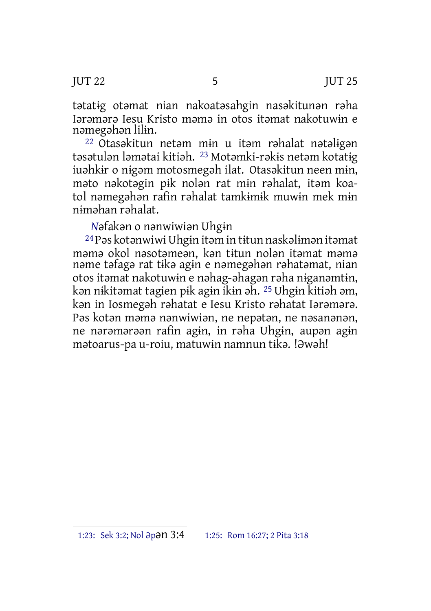JUT 22 5 JUT 25

tətatɨg otəmat nian nakoatəsahgin nasəkitunən rəha Iərəmərə Iesu Kristo məmə in otos itəmat nakotuwɨn e nəmegəhən lilɨn.

22 Otasəkitun netəm mɨn u itəm rəhalat nətəlɨgən təsətulən ləmətai kitiəh. 23 Motəmki-rəkɨs netəm kotatɨg iuəhkɨr o nɨgəm motosmegəh ilat. Otasəkitun neen mɨn, məto nəkotəgin pɨk nolən rat mɨn rəhalat, itəm koatol nəmegəhən rafin rəhalat tamkɨmɨk muwɨn mek mɨn nɨməhan rəhalat.

*N*əfakən o nənwiwiən Uhgɨn

24Pəs kotənwiwi Uhgɨn itəm in tɨtun naskəlɨmən itəmat məmə okol nəsotəmeən, kən tɨtun nolən itəmat məmə nəme təfagə rat tɨkə agɨn e nəmegəhən rəhatəmat, nian otos itəmat nakotuwɨn e nəhag-əhagən rəha nɨganəmtɨn, kən nɨkitəmat tagien pɨk agɨn ikɨn əh. 25 Uhgɨn kitiəh əm, kən in Iosmegəh rəhatat e Iesu Kristo rəhatat Iərəmərə. Pəs kotən məmə nənwiwiən, ne nepətən, ne nəsanənən, ne nərəmərəən rafin agɨn, in rəha Uhgɨn, aupən agɨn mətoarus-pa u-roiu, matuwɨn namnun tɨkə. !Əwəh!